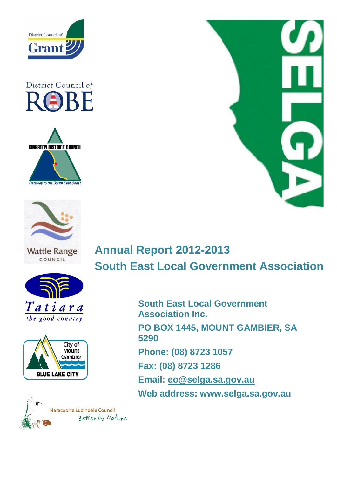

# District Council of RABE





**Wattle Range** COUNCIL







# **Annual Report 2012-2013 South East Local Government Association**

**South East Local Government Association Inc. PO BOX 1445, MOUNT GAMBIER, SA 5290 Phone: (08) 8723 1057 Fax: (08) 8723 1286 Email: [eo@selga.sa.gov.au](mailto:eo@selga.sa.gov.au) Web address: www.selga.sa.gov.au**

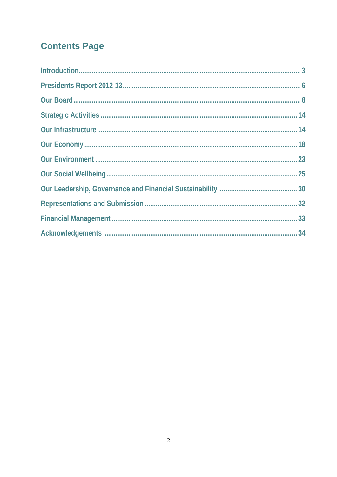## **Contents Page**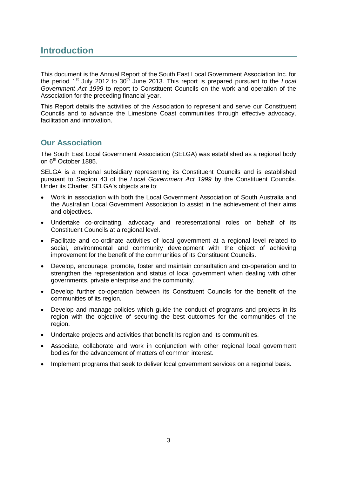## **Introduction**

This document is the Annual Report of the South East Local Government Association Inc. for the period 1<sup>st</sup> July 2012 to 30<sup>th</sup> June 2013. This report is prepared pursuant to the *Local Government Act 1999* to report to Constituent Councils on the work and operation of the Association for the preceding financial year.

This Report details the activities of the Association to represent and serve our Constituent Councils and to advance the Limestone Coast communities through effective advocacy, facilitation and innovation.

## **Our Association**

The South East Local Government Association (SELGA) was established as a regional body on 6<sup>th</sup> October 1885.

SELGA is a regional subsidiary representing its Constituent Councils and is established pursuant to Section 43 of the *Local Government Act 1999* by the Constituent Councils. Under its Charter, SELGA's objects are to:

- Work in association with both the Local Government Association of South Australia and the Australian Local Government Association to assist in the achievement of their aims and objectives.
- Undertake co-ordinating, advocacy and representational roles on behalf of its Constituent Councils at a regional level.
- Facilitate and co-ordinate activities of local government at a regional level related to social, environmental and community development with the object of achieving improvement for the benefit of the communities of its Constituent Councils.
- Develop, encourage, promote, foster and maintain consultation and co-operation and to strengthen the representation and status of local government when dealing with other governments, private enterprise and the community.
- Develop further co-operation between its Constituent Councils for the benefit of the communities of its region.
- Develop and manage policies which guide the conduct of programs and projects in its region with the objective of securing the best outcomes for the communities of the region.
- Undertake projects and activities that benefit its region and its communities.
- Associate, collaborate and work in conjunction with other regional local government bodies for the advancement of matters of common interest.
- Implement programs that seek to deliver local government services on a regional basis.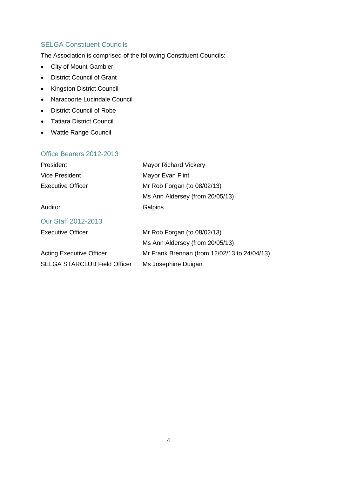### SELGA Constituent Councils

The Association is comprised of the following Constituent Councils:

- City of Mount Gambier
- District Council of Grant
- Kingston District Council
- Naracoorte Lucindale Council
- District Council of Robe
- Tatiara District Council
- Wattle Range Council

### Office Bearers 2012-2013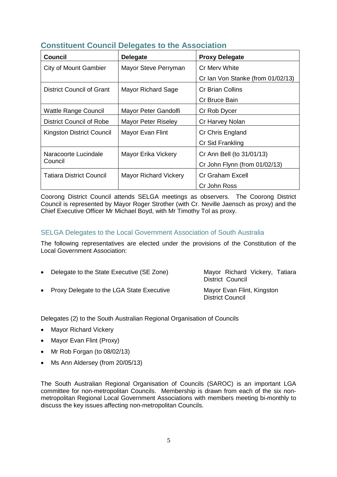| <b>Council</b>                  | <b>Delegate</b>              | <b>Proxy Delegate</b>             |
|---------------------------------|------------------------------|-----------------------------------|
| <b>City of Mount Gambier</b>    | Mayor Steve Perryman         | Cr Merv White                     |
|                                 |                              | Cr Ian Von Stanke (from 01/02/13) |
| District Council of Grant       | <b>Mayor Richard Sage</b>    | <b>Cr Brian Collins</b>           |
|                                 |                              | Cr Bruce Bain                     |
| <b>Wattle Range Council</b>     | Mayor Peter Gandolfi         | Cr Rob Dycer                      |
| <b>District Council of Robe</b> | <b>Mayor Peter Riseley</b>   | Cr Harvey Nolan                   |
| Kingston District Council       | Mayor Evan Flint             | Cr Chris England                  |
|                                 |                              | Cr Sid Frankling                  |
| Naracoorte Lucindale            | Mayor Erika Vickery          | Cr Ann Bell (to 31/01/13)         |
| Council                         |                              | Cr John Flynn (from 01/02/13)     |
| <b>Tatiara District Council</b> | <b>Mayor Richard Vickery</b> | <b>Cr Graham Excell</b>           |
|                                 |                              | Cr John Ross                      |

## **Constituent Council Delegates to the Association**

Coorong District Council attends SELGA meetings as observers. The Coorong District Council is represented by Mayor Roger Strother (with Cr. Neville Jaensch as proxy) and the Chief Executive Officer Mr Michael Boyd, with Mr Timothy Tol as proxy.

#### SELGA Delegates to the Local Government Association of South Australia

The following representatives are elected under the provisions of the Constitution of the Local Government Association:

• Delegate to the State Executive (SE Zone) Mayor Richard Vickery, Tatiara District Council • Proxy Delegate to the LGA State Executive Mayor Evan Flint, Kingston District Council

Delegates (2) to the South Australian Regional Organisation of Councils

- Mayor Richard Vickery
- Mayor Evan Flint (Proxy)
- Mr Rob Forgan (to 08/02/13)
- Ms Ann Aldersey (from 20/05/13)

The South Australian Regional Organisation of Councils (SAROC) is an important LGA committee for non-metropolitan Councils. Membership is drawn from each of the six nonmetropolitan Regional Local Government Associations with members meeting bi-monthly to discuss the key issues affecting non-metropolitan Councils.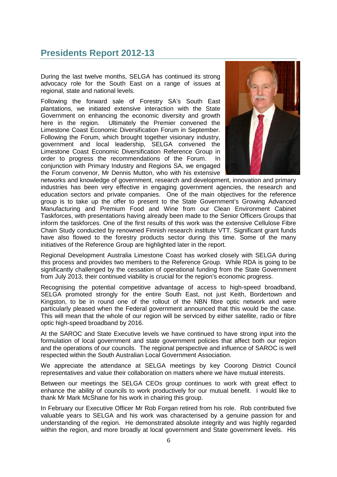## **Presidents Report 2012-13**

During the last twelve months, SELGA has continued its strong advocacy role for the South East on a range of issues at regional, state and national levels.

Following the forward sale of Forestry SA's South East plantations, we initiated extensive interaction with the State Government on enhancing the economic diversity and growth<br>here in the region. Ultimately the Premier convened the Ultimately the Premier convened the Limestone Coast Economic Diversification Forum in September. Following the Forum, which brought together visionary industry, government and local leadership, SELGA convened the Limestone Coast Economic Diversification Reference Group in order to progress the recommendations of the Forum. In conjunction with Primary Industry and Regions SA, we engaged the Forum convenor, Mr Dennis Mutton, who with his extensive



networks and knowledge of government, research and development, innovation and primary industries has been very effective in engaging government agencies, the research and education sectors and private companies. One of the main objectives for the reference group is to take up the offer to present to the State Government's Growing Advanced Manufacturing and Premium Food and Wine from our Clean Environment Cabinet Taskforces, with presentations having already been made to the Senior Officers Groups that inform the taskforces. One of the first results of this work was the extensive Cellulose Fibre Chain Study conducted by renowned Finnish research institute VTT. Significant grant funds have also flowed to the forestry products sector during this time. Some of the many initiatives of the Reference Group are highlighted later in the report.

Regional Development Australia Limestone Coast has worked closely with SELGA during this process and provides two members to the Reference Group. While RDA is going to be significantly challenged by the cessation of operational funding from the State Government from July 2013, their continued viability is crucial for the region's economic progress.

Recognising the potential competitive advantage of access to high-speed broadband, SELGA promoted strongly for the entire South East, not just Keith, Bordertown and Kingston, to be in round one of the rollout of the NBN fibre optic network and were particularly pleased when the Federal government announced that this would be the case. This will mean that the whole of our region will be serviced by either satellite, radio or fibre optic high-speed broadband by 2016.

At the SAROC and State Executive levels we have continued to have strong input into the formulation of local government and state government policies that affect both our region and the operations of our councils. The regional perspective and influence of SAROC is well respected within the South Australian Local Government Association.

We appreciate the attendance at SELGA meetings by key Coorong District Council representatives and value their collaboration on matters where we have mutual interests.

Between our meetings the SELGA CEOs group continues to work with great effect to enhance the ability of councils to work productively for our mutual benefit. I would like to thank Mr Mark McShane for his work in chairing this group.

In February our Executive Officer Mr Rob Forgan retired from his role. Rob contributed five valuable years to SELGA and his work was characterised by a genuine passion for and understanding of the region. He demonstrated absolute integrity and was highly regarded within the region, and more broadly at local government and State government levels. His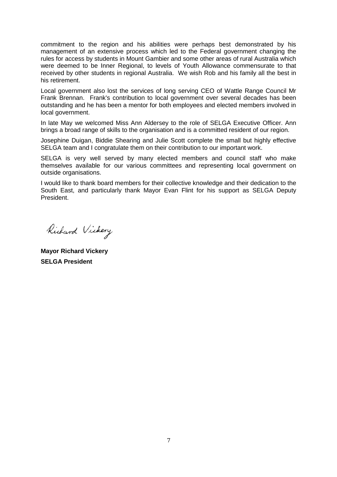commitment to the region and his abilities were perhaps best demonstrated by his management of an extensive process which led to the Federal government changing the rules for access by students in Mount Gambier and some other areas of rural Australia which were deemed to be Inner Regional, to levels of Youth Allowance commensurate to that received by other students in regional Australia. We wish Rob and his family all the best in his retirement.

Local government also lost the services of long serving CEO of Wattle Range Council Mr Frank Brennan. Frank's contribution to local government over several decades has been outstanding and he has been a mentor for both employees and elected members involved in local government.

In late May we welcomed Miss Ann Aldersey to the role of SELGA Executive Officer. Ann brings a broad range of skills to the organisation and is a committed resident of our region.

Josephine Duigan, Biddie Shearing and Julie Scott complete the small but highly effective SELGA team and I congratulate them on their contribution to our important work.

SELGA is very well served by many elected members and council staff who make themselves available for our various committees and representing local government on outside organisations.

I would like to thank board members for their collective knowledge and their dedication to the South East, and particularly thank Mayor Evan Flint for his support as SELGA Deputy President.

Richard Vickery

**Mayor Richard Vickery SELGA President**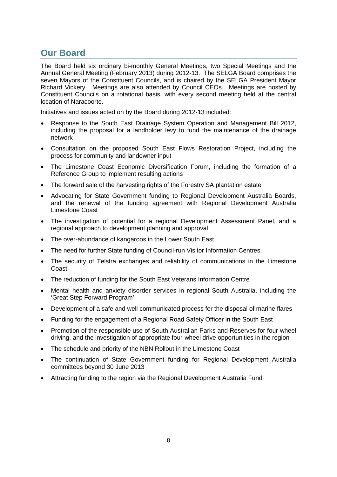## **Our Board**

The Board held six ordinary bi-monthly General Meetings, two Special Meetings and the Annual General Meeting (February 2013) during 2012-13. The SELGA Board comprises the seven Mayors of the Constituent Councils, and is chaired by the SELGA President Mayor Richard Vickery. Meetings are also attended by Council CEOs. Meetings are hosted by Constituent Councils on a rotational basis, with every second meeting held at the central location of Naracoorte.

Initiatives and issues acted on by the Board during 2012-13 included:

- Response to the South East Drainage System Operation and Management Bill 2012, including the proposal for a landholder levy to fund the maintenance of the drainage network
- Consultation on the proposed South East Flows Restoration Project, including the process for community and landowner input
- The Limestone Coast Economic Diversification Forum, including the formation of a Reference Group to implement resulting actions
- The forward sale of the harvesting rights of the Forestry SA plantation estate
- Advocating for State Government funding to Regional Development Australia Boards, and the renewal of the funding agreement with Regional Development Australia Limestone Coast
- The investigation of potential for a regional Development Assessment Panel, and a regional approach to development planning and approval
- The over-abundance of kangaroos in the Lower South East
- The need for further State funding of Council-run Visitor Information Centres
- The security of Telstra exchanges and reliability of communications in the Limestone Coast
- The reduction of funding for the South East Veterans Information Centre
- Mental health and anxiety disorder services in regional South Australia, including the 'Great Step Forward Program'
- Development of a safe and well communicated process for the disposal of marine flares
- Funding for the engagement of a Regional Road Safety Officer in the South East
- Promotion of the responsible use of South Australian Parks and Reserves for four-wheel driving, and the investigation of appropriate four-wheel drive opportunities in the region
- The schedule and priority of the NBN Rollout in the Limestone Coast
- The continuation of State Government funding for Regional Development Australia committees beyond 30 June 2013
- Attracting funding to the region via the Regional Development Australia Fund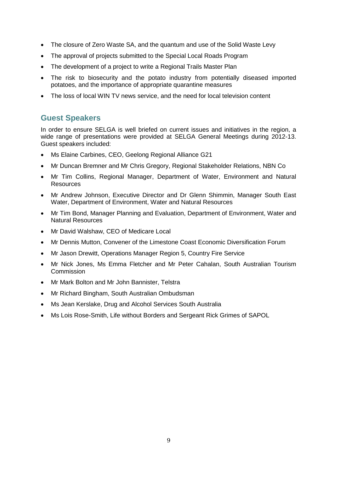- The closure of Zero Waste SA, and the quantum and use of the Solid Waste Levy
- The approval of projects submitted to the Special Local Roads Program
- The development of a project to write a Regional Trails Master Plan
- The risk to biosecurity and the potato industry from potentially diseased imported potatoes, and the importance of appropriate quarantine measures
- The loss of local WIN TV news service, and the need for local television content

## **Guest Speakers**

In order to ensure SELGA is well briefed on current issues and initiatives in the region, a wide range of presentations were provided at SELGA General Meetings during 2012-13. Guest speakers included:

- Ms Elaine Carbines, CEO, Geelong Regional Alliance G21
- Mr Duncan Bremner and Mr Chris Gregory, Regional Stakeholder Relations, NBN Co
- Mr Tim Collins, Regional Manager, Department of Water, Environment and Natural Resources
- Mr Andrew Johnson, Executive Director and Dr Glenn Shimmin, Manager South East Water, Department of Environment, Water and Natural Resources
- Mr Tim Bond, Manager Planning and Evaluation, Department of Environment, Water and Natural Resources
- Mr David Walshaw, CEO of Medicare Local
- Mr Dennis Mutton, Convener of the Limestone Coast Economic Diversification Forum
- Mr Jason Drewitt, Operations Manager Region 5, Country Fire Service
- Mr Nick Jones, Ms Emma Fletcher and Mr Peter Cahalan, South Australian Tourism Commission
- Mr Mark Bolton and Mr John Bannister, Telstra
- Mr Richard Bingham, South Australian Ombudsman
- Ms Jean Kerslake, Drug and Alcohol Services South Australia
- Ms Lois Rose-Smith, Life without Borders and Sergeant Rick Grimes of SAPOL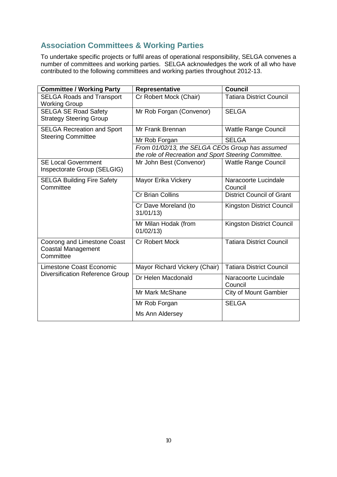## **Association Committees & Working Parties**

To undertake specific projects or fulfil areas of operational responsibility, SELGA convenes a number of committees and working parties. SELGA acknowledges the work of all who have contributed to the following committees and working parties throughout 2012-13.

| <b>Committee / Working Party</b>                                      | Representative                                                                                          | <b>Council</b>                   |  |
|-----------------------------------------------------------------------|---------------------------------------------------------------------------------------------------------|----------------------------------|--|
| <b>SELGA Roads and Transport</b><br><b>Working Group</b>              | Cr Robert Mock (Chair)                                                                                  | <b>Tatiara District Council</b>  |  |
| <b>SELGA SE Road Safety</b><br><b>Strategy Steering Group</b>         | Mr Rob Forgan (Convenor)                                                                                | <b>SELGA</b>                     |  |
| <b>SELGA Recreation and Sport</b>                                     | Mr Frank Brennan                                                                                        | <b>Wattle Range Council</b>      |  |
| <b>Steering Committee</b>                                             | Mr Rob Forgan                                                                                           | <b>SELGA</b>                     |  |
|                                                                       | From 01/02/13, the SELGA CEOs Group has assumed<br>the role of Recreation and Sport Steering Committee. |                                  |  |
| <b>SE Local Government</b><br>Inspectorate Group (SELGIG)             | Mr John Best (Convenor)                                                                                 | <b>Wattle Range Council</b>      |  |
| <b>SELGA Building Fire Safety</b><br>Committee                        | Mayor Erika Vickery                                                                                     | Naracoorte Lucindale<br>Council  |  |
|                                                                       | <b>Cr Brian Collins</b>                                                                                 | <b>District Council of Grant</b> |  |
|                                                                       | Cr Dave Moreland (to<br>31/01/13                                                                        | <b>Kingston District Council</b> |  |
|                                                                       | Mr Milan Hodak (from<br>01/02/13                                                                        | Kingston District Council        |  |
| Coorong and Limestone Coast<br><b>Coastal Management</b><br>Committee | <b>Cr Robert Mock</b>                                                                                   | <b>Tatiara District Council</b>  |  |
| Limestone Coast Economic                                              | Mayor Richard Vickery (Chair)                                                                           | <b>Tatiara District Council</b>  |  |
| <b>Diversification Reference Group</b>                                | Dr Helen Macdonald                                                                                      | Naracoorte Lucindale<br>Council  |  |
|                                                                       | Mr Mark McShane                                                                                         | <b>City of Mount Gambier</b>     |  |
|                                                                       | Mr Rob Forgan                                                                                           | <b>SELGA</b>                     |  |
|                                                                       | Ms Ann Aldersey                                                                                         |                                  |  |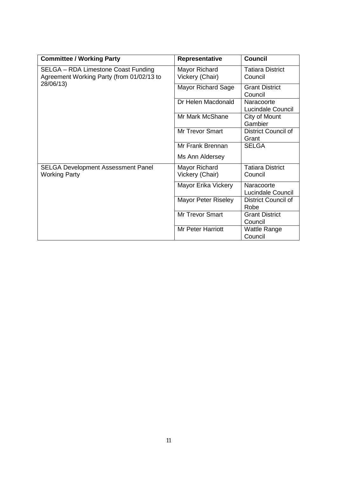| <b>Committee / Working Party</b>                       | Representative             | <b>Council</b>               |
|--------------------------------------------------------|----------------------------|------------------------------|
| SELGA - RDA Limestone Coast Funding                    | Mayor Richard              | <b>Tatiara District</b>      |
| Agreement Working Party (from 01/02/13 to<br>28/06/13) | Vickery (Chair)            | Council                      |
|                                                        | Mayor Richard Sage         | <b>Grant District</b>        |
|                                                        |                            | Council                      |
|                                                        | Dr Helen Macdonald         | Naracoorte                   |
|                                                        |                            | Lucindale Council            |
|                                                        | Mr Mark McShane            | City of Mount                |
|                                                        |                            | Gambier                      |
|                                                        | <b>Mr Trevor Smart</b>     | District Council of<br>Grant |
|                                                        | Mr Frank Brennan           | <b>SELGA</b>                 |
|                                                        | Ms Ann Aldersey            |                              |
| <b>SELGA Development Assessment Panel</b>              | Mayor Richard              | <b>Tatiara District</b>      |
| <b>Working Party</b>                                   | Vickery (Chair)            | Council                      |
|                                                        | Mayor Erika Vickery        | Naracoorte                   |
|                                                        |                            | Lucindale Council            |
|                                                        | <b>Mayor Peter Riseley</b> | <b>District Council of</b>   |
|                                                        |                            | Robe                         |
|                                                        | Mr Trevor Smart            | <b>Grant District</b>        |
|                                                        |                            | Council                      |
|                                                        | <b>Mr Peter Harriott</b>   | Wattle Range                 |
|                                                        |                            | Council                      |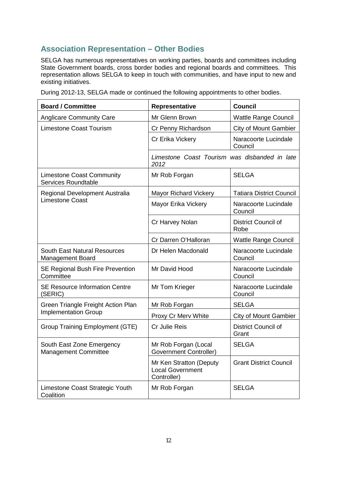## **Association Representation – Other Bodies**

SELGA has numerous representatives on working parties, boards and committees including State Government boards, cross border bodies and regional boards and committees. This representation allows SELGA to keep in touch with communities, and have input to new and existing initiatives.

During 2012-13, SELGA made or continued the following appointments to other bodies.

| <b>Board / Committee</b>                                       | Representative                                                    | <b>Council</b>                     |
|----------------------------------------------------------------|-------------------------------------------------------------------|------------------------------------|
| <b>Anglicare Community Care</b>                                | Mr Glenn Brown                                                    | <b>Wattle Range Council</b>        |
| <b>Limestone Coast Tourism</b>                                 | Cr Penny Richardson                                               | <b>City of Mount Gambier</b>       |
|                                                                | Cr Erika Vickery                                                  | Naracoorte Lucindale<br>Council    |
|                                                                | Limestone Coast Tourism was disbanded in late<br>2012             |                                    |
| <b>Limestone Coast Community</b><br><b>Services Roundtable</b> | Mr Rob Forgan                                                     | <b>SELGA</b>                       |
| Regional Development Australia                                 | <b>Mayor Richard Vickery</b>                                      | <b>Tatiara District Council</b>    |
| <b>Limestone Coast</b>                                         | Mayor Erika Vickery                                               | Naracoorte Lucindale<br>Council    |
|                                                                | Cr Harvey Nolan                                                   | <b>District Council of</b><br>Robe |
|                                                                | Cr Darren O'Halloran                                              | <b>Wattle Range Council</b>        |
| <b>South East Natural Resources</b><br>Management Board        | Dr Helen Macdonald                                                | Naracoorte Lucindale<br>Council    |
| <b>SE Regional Bush Fire Prevention</b><br>Committee           | Mr David Hood                                                     | Naracoorte Lucindale<br>Council    |
| <b>SE Resource Information Centre</b><br>(SERIC)               | Mr Tom Krieger                                                    | Naracoorte Lucindale<br>Council    |
| Green Triangle Freight Action Plan                             | Mr Rob Forgan                                                     | <b>SELGA</b>                       |
| <b>Implementation Group</b>                                    | Proxy Cr Merv White                                               | <b>City of Mount Gambier</b>       |
| <b>Group Training Employment (GTE)</b>                         | Cr Julie Reis                                                     | District Council of<br>Grant       |
| South East Zone Emergency<br><b>Management Committee</b>       | Mr Rob Forgan (Local<br>Government Controller)                    | <b>SELGA</b>                       |
|                                                                | Mr Ken Stratton (Deputy<br><b>Local Government</b><br>Controller) | <b>Grant District Council</b>      |
| Limestone Coast Strategic Youth<br>Coalition                   | Mr Rob Forgan                                                     | <b>SELGA</b>                       |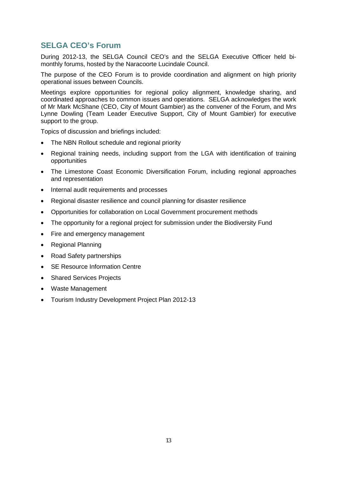## **SELGA CEO's Forum**

During 2012-13, the SELGA Council CEO's and the SELGA Executive Officer held bimonthly forums, hosted by the Naracoorte Lucindale Council.

The purpose of the CEO Forum is to provide coordination and alignment on high priority operational issues between Councils.

Meetings explore opportunities for regional policy alignment, knowledge sharing, and coordinated approaches to common issues and operations. SELGA acknowledges the work of Mr Mark McShane (CEO, City of Mount Gambier) as the convener of the Forum, and Mrs Lynne Dowling (Team Leader Executive Support, City of Mount Gambier) for executive support to the group.

Topics of discussion and briefings included:

- The NBN Rollout schedule and regional priority
- Regional training needs, including support from the LGA with identification of training opportunities
- The Limestone Coast Economic Diversification Forum, including regional approaches and representation
- Internal audit requirements and processes
- Regional disaster resilience and council planning for disaster resilience
- Opportunities for collaboration on Local Government procurement methods
- The opportunity for a regional project for submission under the Biodiversity Fund
- Fire and emergency management
- Regional Planning
- Road Safety partnerships
- SE Resource Information Centre
- Shared Services Projects
- Waste Management
- Tourism Industry Development Project Plan 2012-13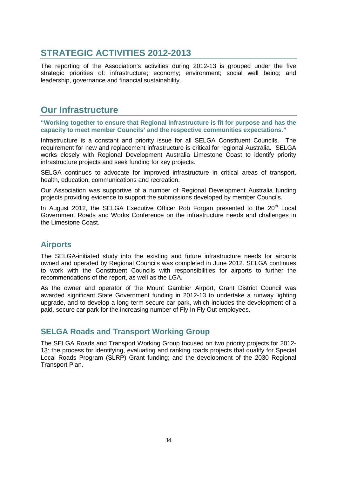## **STRATEGIC ACTIVITIES 2012-2013**

The reporting of the Association's activities during 2012-13 is grouped under the five strategic priorities of: infrastructure; economy; environment; social well being; and leadership, governance and financial sustainability.

## **Our Infrastructure**

**"Working together to ensure that Regional Infrastructure is fit for purpose and has the capacity to meet member Councils' and the respective communities expectations."**

Infrastructure is a constant and priority issue for all SELGA Constituent Councils. The requirement for new and replacement infrastructure is critical for regional Australia. SELGA works closely with Regional Development Australia Limestone Coast to identify priority infrastructure projects and seek funding for key projects.

SELGA continues to advocate for improved infrastructure in critical areas of transport, health, education, communications and recreation.

Our Association was supportive of a number of Regional Development Australia funding projects providing evidence to support the submissions developed by member Councils.

In August 2012, the SELGA Executive Officer Rob Forgan presented to the  $20<sup>th</sup>$  Local Government Roads and Works Conference on the infrastructure needs and challenges in the Limestone Coast.

## **Airports**

The SELGA-initiated study into the existing and future infrastructure needs for airports owned and operated by Regional Councils was completed in June 2012. SELGA continues to work with the Constituent Councils with responsibilities for airports to further the recommendations of the report, as well as the LGA.

As the owner and operator of the Mount Gambier Airport, Grant District Council was awarded significant State Government funding in 2012-13 to undertake a runway lighting upgrade, and to develop a long term secure car park, which includes the development of a paid, secure car park for the increasing number of Fly In Fly Out employees.

## **SELGA Roads and Transport Working Group**

The SELGA Roads and Transport Working Group focused on two priority projects for 2012- 13: the process for identifying, evaluating and ranking roads projects that qualify for Special Local Roads Program (SLRP) Grant funding; and the development of the 2030 Regional Transport Plan.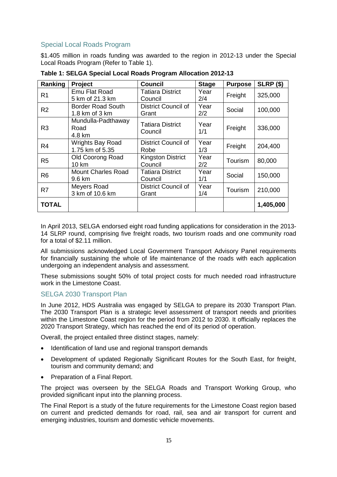### Special Local Roads Program

\$1.405 million in roads funding was awarded to the region in 2012-13 under the Special Local Roads Program (Refer to Table 1).

| Ranking        | Project                                    | <b>Council</b>                      | <b>Stage</b> | <b>Purpose</b> | <b>SLRP (\$)</b> |
|----------------|--------------------------------------------|-------------------------------------|--------------|----------------|------------------|
| R <sub>1</sub> | Emu Flat Road<br>5 km of 21.3 km           | <b>Tatiara District</b><br>Council  | Year<br>2/4  | Freight        | 325,000          |
| R <sub>2</sub> | Border Road South<br>1.8 km of 3 km        | <b>District Council of</b><br>Grant | Year<br>2/2  | Social         | 100,000          |
| R <sub>3</sub> | Mundulla-Padthaway<br>Road<br>4.8 km       | Tatiara District<br>Council         | Year<br>1/1  | Freight        | 336,000          |
| R4             | <b>Wrights Bay Road</b><br>1.75 km of 5.35 | <b>District Council of</b><br>Robe  | Year<br>1/3  | Freight        | 204,400          |
| R <sub>5</sub> | Old Coorong Road<br>10 km                  | <b>Kingston District</b><br>Council | Year<br>2/2  | Tourism        | 80,000           |
| R <sub>6</sub> | <b>Mount Charles Road</b><br>9.6 km        | <b>Tatiara District</b><br>Council  | Year<br>1/1  | Social         | 150,000          |
| R7             | Meyers Road<br>3 km of 10.6 km             | <b>District Council of</b><br>Grant | Year<br>1/4  | Tourism        | 210,000          |
| <b>TOTAL</b>   |                                            |                                     |              |                | 1,405,000        |

**Table 1: SELGA Special Local Roads Program Allocation 2012-13**

In April 2013, SELGA endorsed eight road funding applications for consideration in the 2013- 14 SLRP round, comprising five freight roads, two tourism roads and one community road for a total of \$2.11 million.

All submissions acknowledged Local Government Transport Advisory Panel requirements for financially sustaining the whole of life maintenance of the roads with each application undergoing an independent analysis and assessment.

These submissions sought 50% of total project costs for much needed road infrastructure work in the Limestone Coast.

#### SELGA 2030 Transport Plan

In June 2012, HDS Australia was engaged by SELGA to prepare its 2030 Transport Plan. The 2030 Transport Plan is a strategic level assessment of transport needs and priorities within the Limestone Coast region for the period from 2012 to 2030. It officially replaces the 2020 Transport Strategy, which has reached the end of its period of operation.

Overall, the project entailed three distinct stages, namely:

- Identification of land use and regional transport demands
- Development of updated Regionally Significant Routes for the South East, for freight, tourism and community demand; and
- Preparation of a Final Report.

The project was overseen by the SELGA Roads and Transport Working Group, who provided significant input into the planning process.

The Final Report is a study of the future requirements for the Limestone Coast region based on current and predicted demands for road, rail, sea and air transport for current and emerging industries, tourism and domestic vehicle movements.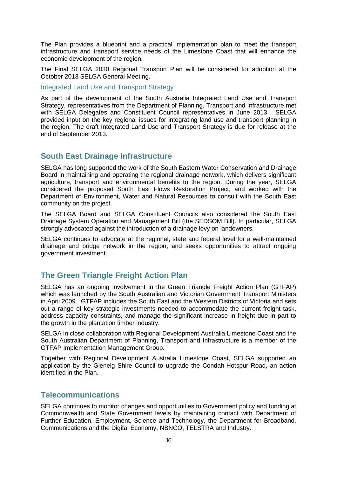The Plan provides a blueprint and a practical implementation plan to meet the transport infrastructure and transport service needs of the Limestone Coast that will enhance the economic development of the region.

The Final SELGA 2030 Regional Transport Plan will be considered for adoption at the October 2013 SELGA General Meeting.

Integrated Land Use and Transport Strategy

As part of the development of the South Australia Integrated Land Use and Transport Strategy, representatives from the Department of Planning, Transport and Infrastructure met with SELGA Delegates and Constituent Council representatives in June 2013. SELGA provided input on the key regional issues for integrating land use and transport planning in the region. The draft Integrated Land Use and Transport Strategy is due for release at the end of September 2013.

## **South East Drainage Infrastructure**

SELGA has long supported the work of the South Eastern Water Conservation and Drainage Board in maintaining and operating the regional drainage network, which delivers significant agriculture, transport and environmental benefits to the region. During the year, SELGA considered the proposed South East Flows Restoration Project, and worked with the Department of Environment, Water and Natural Resources to consult with the South East community on the project.

The SELGA Board and SELGA Constituent Councils also considered the South East Drainage System Operation and Management Bill (the SEDSOM Bill). In particular, SELGA strongly advocated against the introduction of a drainage levy on landowners.

SELGA continues to advocate at the regional, state and federal level for a well-maintained drainage and bridge network in the region, and seeks opportunities to attract ongoing government investment.

## **The Green Triangle Freight Action Plan**

SELGA has an ongoing involvement in the Green Triangle Freight Action Plan (GTFAP) which was launched by the South Australian and Victorian Government Transport Ministers in April 2009. GTFAP includes the South East and the Western Districts of Victoria and sets out a range of key strategic investments needed to accommodate the current freight task, address capacity constraints, and manage the significant increase in freight due in part to the growth in the plantation timber industry.

SELGA in close collaboration with Regional Development Australia Limestone Coast and the South Australian Department of Planning, Transport and Infrastructure is a member of the GTFAP Implementation Management Group.

Together with Regional Development Australia Limestone Coast, SELGA supported an application by the Glenelg Shire Council to upgrade the Condah-Hotspur Road, an action identified in the Plan.

### **Telecommunications**

SELGA continues to monitor changes and opportunities to Government policy and funding at Commonwealth and State Government levels by maintaining contact with Department of Further Education, Employment, Science and Technology, the Department for Broadband, Communications and the Digital Economy, NBNCO, TELSTRA and Industry.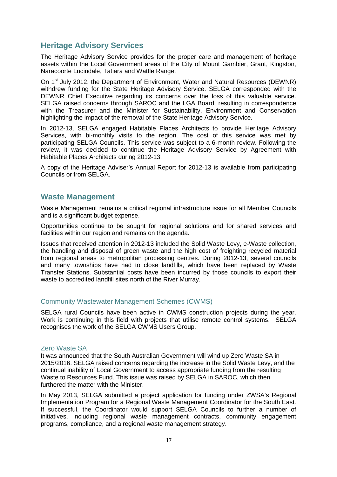### **Heritage Advisory Services**

The Heritage Advisory Service provides for the proper care and management of heritage assets within the Local Government areas of the City of Mount Gambier, Grant, Kingston, Naracoorte Lucindale, Tatiara and Wattle Range.

On 1<sup>st</sup> July 2012, the Department of Environment, Water and Natural Resources (DEWNR) withdrew funding for the State Heritage Advisory Service. SELGA corresponded with the DEWNR Chief Executive regarding its concerns over the loss of this valuable service. SELGA raised concerns through SAROC and the LGA Board, resulting in correspondence with the Treasurer and the Minister for Sustainability, Environment and Conservation highlighting the impact of the removal of the State Heritage Advisory Service.

In 2012-13, SELGA engaged Habitable Places Architects to provide Heritage Advisory Services, with bi-monthly visits to the region. The cost of this service was met by participating SELGA Councils. This service was subject to a 6-month review. Following the review, it was decided to continue the Heritage Advisory Service by Agreement with Habitable Places Architects during 2012-13.

A copy of the Heritage Adviser's Annual Report for 2012-13 is available from participating Councils or from SELGA.

#### **Waste Management**

Waste Management remains a critical regional infrastructure issue for all Member Councils and is a significant budget expense.

Opportunities continue to be sought for regional solutions and for shared services and facilities within our region and remains on the agenda.

Issues that received attention in 2012-13 included the Solid Waste Levy, e-Waste collection, the handling and disposal of green waste and the high cost of freighting recycled material from regional areas to metropolitan processing centres. During 2012-13, several councils and many townships have had to close landfills, which have been replaced by Waste Transfer Stations. Substantial costs have been incurred by those councils to export their waste to accredited landfill sites north of the River Murray.

#### Community Wastewater Management Schemes (CWMS)

SELGA rural Councils have been active in CWMS construction projects during the year. Work is continuing in this field with projects that utilise remote control systems. SELGA recognises the work of the SELGA CWMS Users Group.

#### Zero Waste SA

It was announced that the South Australian Government will wind up Zero Waste SA in 2015/2016. SELGA raised concerns regarding the increase in the Solid Waste Levy, and the continual inability of Local Government to access appropriate funding from the resulting Waste to Resources Fund. This issue was raised by SELGA in SAROC, which then furthered the matter with the Minister.

In May 2013, SELGA submitted a project application for funding under ZWSA's Regional Implementation Program for a Regional Waste Management Coordinator for the South East. If successful, the Coordinator would support SELGA Councils to further a number of initiatives, including regional waste management contracts, community engagement programs, compliance, and a regional waste management strategy.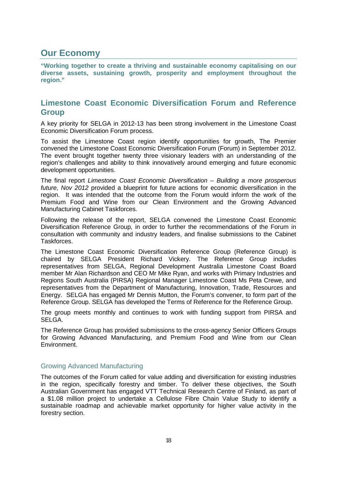## **Our Economy**

**"Working together to create a thriving and sustainable economy capitalising on our diverse assets, sustaining growth, prosperity and employment throughout the region."**

## **Limestone Coast Economic Diversification Forum and Reference Group**

A key priority for SELGA in 2012-13 has been strong involvement in the Limestone Coast Economic Diversification Forum process.

To assist the Limestone Coast region identify opportunities for growth, The Premier convened the Limestone Coast Economic Diversification Forum (Forum) in September 2012. The event brought together twenty three visionary leaders with an understanding of the region's challenges and ability to think innovatively around emerging and future economic development opportunities.

The final report *Limestone Coast Economic Diversification – Building a more prosperous future, Nov 2012* provided a blueprint for future actions for economic diversification in the region. It was intended that the outcome from the Forum would inform the work of the Premium Food and Wine from our Clean Environment and the Growing Advanced Manufacturing Cabinet Taskforces.

Following the release of the report, SELGA convened the Limestone Coast Economic Diversification Reference Group, in order to further the recommendations of the Forum in consultation with community and industry leaders, and finalise submissions to the Cabinet Taskforces.

The Limestone Coast Economic Diversification Reference Group (Reference Group) is chaired by SELGA President Richard Vickery. The Reference Group includes representatives from SELGA, Regional Development Australia Limestone Coast Board member Mr Alan Richardson and CEO Mr Mike Ryan, and works with Primary Industries and Regions South Australia (PIRSA) Regional Manager Limestone Coast Ms Peta Crewe, and representatives from the Department of Manufacturing, Innovation, Trade, Resources and Energy. SELGA has engaged Mr Dennis Mutton, the Forum's convener, to form part of the Reference Group. SELGA has developed the Terms of Reference for the Reference Group.

The group meets monthly and continues to work with funding support from PIRSA and SELGA.

The Reference Group has provided submissions to the cross-agency Senior Officers Groups for Growing Advanced Manufacturing, and Premium Food and Wine from our Clean Environment.

#### Growing Advanced Manufacturing

The outcomes of the Forum called for value adding and diversification for existing industries in the region, specifically forestry and timber. To deliver these objectives, the South Australian Government has engaged VTT Technical Research Centre of Finland, as part of a \$1.08 million project to undertake a Cellulose Fibre Chain Value Study to identify a sustainable roadmap and achievable market opportunity for higher value activity in the forestry section.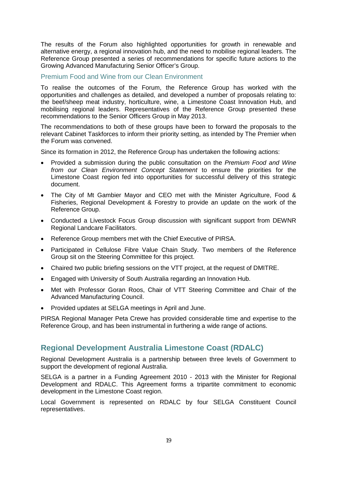The results of the Forum also highlighted opportunities for growth in renewable and alternative energy, a regional innovation hub, and the need to mobilise regional leaders. The Reference Group presented a series of recommendations for specific future actions to the Growing Advanced Manufacturing Senior Officer's Group.

#### Premium Food and Wine from our Clean Environment

To realise the outcomes of the Forum, the Reference Group has worked with the opportunities and challenges as detailed, and developed a number of proposals relating to: the beef/sheep meat industry, horticulture, wine, a Limestone Coast Innovation Hub, and mobilising regional leaders. Representatives of the Reference Group presented these recommendations to the Senior Officers Group in May 2013.

The recommendations to both of these groups have been to forward the proposals to the relevant Cabinet Taskforces to inform their priority setting, as intended by The Premier when the Forum was convened.

Since its formation in 2012, the Reference Group has undertaken the following actions:

- Provided a submission during the public consultation on the *Premium Food and Wine from our Clean Environment Concept Statement* to ensure the priorities for the Limestone Coast region fed into opportunities for successful delivery of this strategic document.
- The City of Mt Gambier Mayor and CEO met with the Minister Agriculture, Food & Fisheries, Regional Development & Forestry to provide an update on the work of the Reference Group.
- Conducted a Livestock Focus Group discussion with significant support from DEWNR Regional Landcare Facilitators.
- Reference Group members met with the Chief Executive of PIRSA.
- Participated in Cellulose Fibre Value Chain Study. Two members of the Reference Group sit on the Steering Committee for this project.
- Chaired two public briefing sessions on the VTT project, at the request of DMITRE.
- Engaged with University of South Australia regarding an Innovation Hub.
- Met with Professor Goran Roos, Chair of VTT Steering Committee and Chair of the Advanced Manufacturing Council.
- Provided updates at SELGA meetings in April and June.

PIRSA Regional Manager Peta Crewe has provided considerable time and expertise to the Reference Group, and has been instrumental in furthering a wide range of actions.

### **Regional Development Australia Limestone Coast (RDALC)**

Regional Development Australia is a partnership between three levels of Government to support the development of regional Australia.

SELGA is a partner in a Funding Agreement 2010 - 2013 with the Minister for Regional Development and RDALC. This Agreement forms a tripartite commitment to economic development in the Limestone Coast region.

Local Government is represented on RDALC by four SELGA Constituent Council representatives.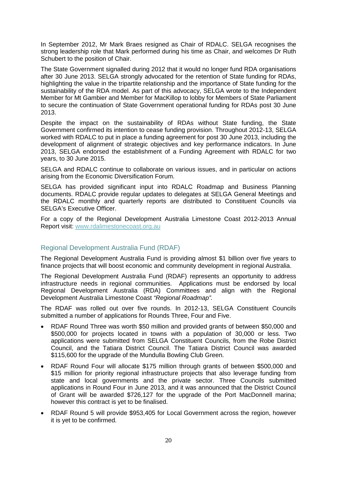In September 2012, Mr Mark Braes resigned as Chair of RDALC. SELGA recognises the strong leadership role that Mark performed during his time as Chair, and welcomes Dr Ruth Schubert to the position of Chair.

The State Government signalled during 2012 that it would no longer fund RDA organisations after 30 June 2013. SELGA strongly advocated for the retention of State funding for RDAs, highlighting the value in the tripartite relationship and the importance of State funding for the sustainability of the RDA model. As part of this advocacy, SELGA wrote to the Independent Member for Mt Gambier and Member for MacKillop to lobby for Members of State Parliament to secure the continuation of State Government operational funding for RDAs post 30 June 2013.

Despite the impact on the sustainability of RDAs without State funding, the State Government confirmed its intention to cease funding provision. Throughout 2012-13, SELGA worked with RDALC to put in place a funding agreement for post 30 June 2013, including the development of alignment of strategic objectives and key performance indicators. In June 2013, SELGA endorsed the establishment of a Funding Agreement with RDALC for two years, to 30 June 2015.

SELGA and RDALC continue to collaborate on various issues, and in particular on actions arising from the Economic Diversification Forum.

SELGA has provided significant input into RDALC Roadmap and Business Planning documents. RDALC provide regular updates to delegates at SELGA General Meetings and the RDALC monthly and quarterly reports are distributed to Constituent Councils via SELGA's Executive Officer.

For a copy of the Regional Development Australia Limestone Coast 2012-2013 Annual Report visit: www.rdalimestonecoast.org.au

#### Regional Development Australia Fund (RDAF)

The Regional Development Australia Fund is providing almost \$1 billion over five years to finance projects that will boost economic and community development in regional Australia.

The Regional Development Australia Fund (RDAF) represents an opportunity to address infrastructure needs in regional communities. Applications must be endorsed by local Regional Development Australia (RDA) Committees and align with the Regional Development Australia Limestone Coast *"Regional Roadmap".*

The RDAF was rolled out over five rounds. In 2012-13, SELGA Constituent Councils submitted a number of applications for Rounds Three, Four and Five.

- RDAF Round Three was worth \$50 million and provided grants of between \$50,000 and \$500,000 for projects located in towns with a population of 30,000 or less. Two applications were submitted from SELGA Constituent Councils, from the Robe District Council, and the Tatiara District Council. The Tatiara District Council was awarded \$115,600 for the upgrade of the Mundulla Bowling Club Green.
- RDAF Round Four will allocate \$175 million through grants of between \$500,000 and \$15 million for priority regional infrastructure projects that also leverage funding from state and local governments and the private sector. Three Councils submitted applications in Round Four in June 2013, and it was announced that the District Council of Grant will be awarded \$726,127 for the upgrade of the Port MacDonnell marina; however this contract is yet to be finalised.
- RDAF Round 5 will provide \$953,405 for Local Government across the region, however it is yet to be confirmed.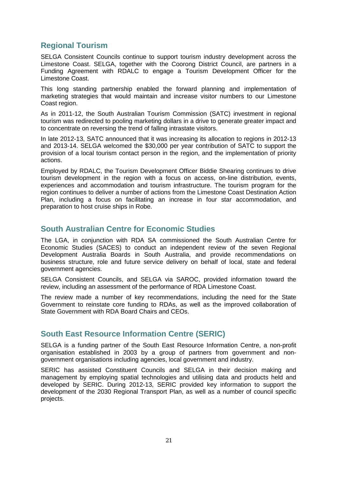## **Regional Tourism**

SELGA Consistent Councils continue to support tourism industry development across the Limestone Coast. SELGA, together with the Coorong District Council, are partners in a Funding Agreement with RDALC to engage a Tourism Development Officer for the Limestone Coast.

This long standing partnership enabled the forward planning and implementation of marketing strategies that would maintain and increase visitor numbers to our Limestone Coast region.

As in 2011-12, the South Australian Tourism Commission (SATC) investment in regional tourism was redirected to pooling marketing dollars in a drive to generate greater impact and to concentrate on reversing the trend of falling intrastate visitors.

In late 2012-13, SATC announced that it was increasing its allocation to regions in 2012-13 and 2013-14. SELGA welcomed the \$30,000 per year contribution of SATC to support the provision of a local tourism contact person in the region, and the implementation of priority actions.

Employed by RDALC, the Tourism Development Officer Biddie Shearing continues to drive tourism development in the region with a focus on access, on-line distribution, events, experiences and accommodation and tourism infrastructure. The tourism program for the region continues to deliver a number of actions from the Limestone Coast Destination Action Plan, including a focus on facilitating an increase in four star accommodation, and preparation to host cruise ships in Robe.

## **South Australian Centre for Economic Studies**

The LGA, in conjunction with RDA SA commissioned the South Australian Centre for Economic Studies (SACES) to conduct an independent review of the seven Regional Development Australia Boards in South Australia, and provide recommendations on business structure, role and future service delivery on behalf of local, state and federal government agencies.

SELGA Consistent Councils, and SELGA via SAROC, provided information toward the review, including an assessment of the performance of RDA Limestone Coast.

The review made a number of key recommendations, including the need for the State Government to reinstate core funding to RDAs, as well as the improved collaboration of State Government with RDA Board Chairs and CEOs.

## **South East Resource Information Centre (SERIC)**

SELGA is a funding partner of the South East Resource Information Centre, a non-profit organisation established in 2003 by a group of partners from government and nongovernment organisations including agencies, local government and industry.

SERIC has assisted Constituent Councils and SELGA in their decision making and management by employing spatial technologies and utilising data and products held and developed by SERIC. During 2012-13, SERIC provided key information to support the development of the 2030 Regional Transport Plan, as well as a number of council specific projects.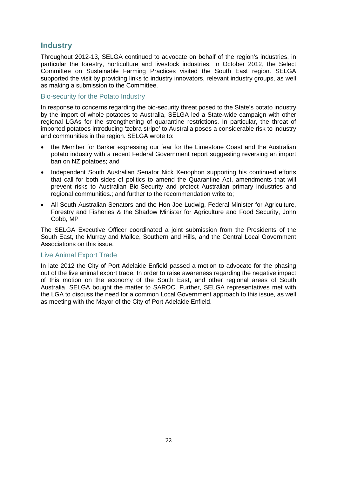## **Industry**

Throughout 2012-13, SELGA continued to advocate on behalf of the region's industries, in particular the forestry, horticulture and livestock industries. In October 2012, the Select Committee on Sustainable Farming Practices visited the South East region. SELGA supported the visit by providing links to industry innovators, relevant industry groups, as well as making a submission to the Committee.

#### Bio-security for the Potato Industry

In response to concerns regarding the bio-security threat posed to the State's potato industry by the import of whole potatoes to Australia, SELGA led a State-wide campaign with other regional LGAs for the strengthening of quarantine restrictions. In particular, the threat of imported potatoes introducing 'zebra stripe' to Australia poses a considerable risk to industry and communities in the region. SELGA wrote to:

- the Member for Barker expressing our fear for the Limestone Coast and the Australian potato industry with a recent Federal Government report suggesting reversing an import ban on NZ potatoes; and
- Independent South Australian Senator Nick Xenophon supporting his continued efforts that call for both sides of politics to amend the Quarantine Act, amendments that will prevent risks to Australian Bio-Security and protect Australian primary industries and regional communities.; and further to the recommendation write to;
- All South Australian Senators and the Hon Joe Ludwig, Federal Minister for Agriculture, Forestry and Fisheries & the Shadow Minister for Agriculture and Food Security, John Cobb, MP

The SELGA Executive Officer coordinated a joint submission from the Presidents of the South East, the Murray and Mallee, Southern and Hills, and the Central Local Government Associations on this issue.

#### Live Animal Export Trade

In late 2012 the City of Port Adelaide Enfield passed a motion to advocate for the phasing out of the live animal export trade. In order to raise awareness regarding the negative impact of this motion on the economy of the South East, and other regional areas of South Australia, SELGA bought the matter to SAROC. Further, SELGA representatives met with the LGA to discuss the need for a common Local Government approach to this issue, as well as meeting with the Mayor of the City of Port Adelaide Enfield.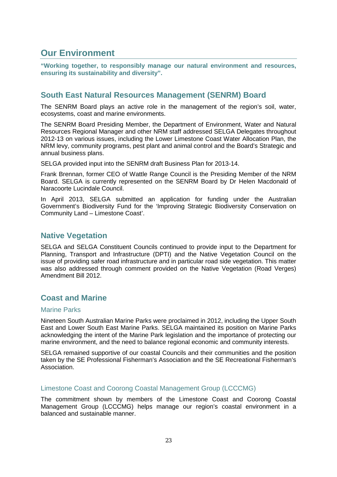## **Our Environment**

**"Working together, to responsibly manage our natural environment and resources, ensuring its sustainability and diversity".**

## **South East Natural Resources Management (SENRM) Board**

The SENRM Board plays an active role in the management of the region's soil, water, ecosystems, coast and marine environments.

The SENRM Board Presiding Member, the Department of Environment, Water and Natural Resources Regional Manager and other NRM staff addressed SELGA Delegates throughout 2012-13 on various issues, including the Lower Limestone Coast Water Allocation Plan, the NRM levy, community programs, pest plant and animal control and the Board's Strategic and annual business plans.

SELGA provided input into the SENRM draft Business Plan for 2013-14.

Frank Brennan, former CEO of Wattle Range Council is the Presiding Member of the NRM Board. SELGA is currently represented on the SENRM Board by Dr Helen Macdonald of Naracoorte Lucindale Council.

In April 2013, SELGA submitted an application for funding under the Australian Government's Biodiversity Fund for the 'Improving Strategic Biodiversity Conservation on Community Land – Limestone Coast'.

## **Native Vegetation**

SELGA and SELGA Constituent Councils continued to provide input to the Department for Planning, Transport and Infrastructure (DPTI) and the Native Vegetation Council on the issue of providing safer road infrastructure and in particular road side vegetation. This matter was also addressed through comment provided on the Native Vegetation (Road Verges) Amendment Bill 2012.

## **Coast and Marine**

#### Marine Parks

Nineteen South Australian Marine Parks were proclaimed in 2012, including the Upper South East and Lower South East Marine Parks. SELGA maintained its position on Marine Parks acknowledging the intent of the Marine Park legislation and the importance of protecting our marine environment, and the need to balance regional economic and community interests.

SELGA remained supportive of our coastal Councils and their communities and the position taken by the SE Professional Fisherman's Association and the SE Recreational Fisherman's Association.

#### Limestone Coast and Coorong Coastal Management Group (LCCCMG)

The commitment shown by members of the Limestone Coast and Coorong Coastal Management Group (LCCCMG) helps manage our region's coastal environment in a balanced and sustainable manner.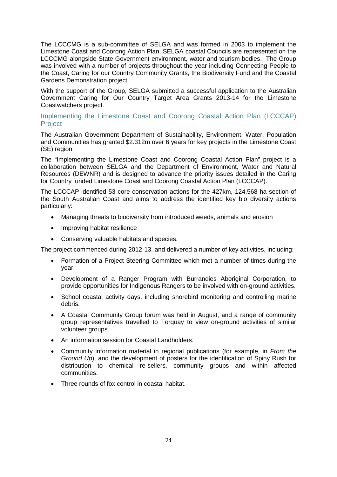The LCCCMG is a sub-committee of SELGA and was formed in 2003 to implement the Limestone Coast and Coorong Action Plan. SELGA coastal Councils are represented on the LCCCMG alongside State Government environment, water and tourism bodies. The Group was involved with a number of projects throughout the year including Connecting People to the Coast, Caring for our Country Community Grants, the Biodiversity Fund and the Coastal Gardens Demonstration project.

With the support of the Group, SELGA submitted a successful application to the Australian Government Caring for Our Country Target Area Grants 2013-14 for the Limestone Coastwatchers project.

#### Implementing the Limestone Coast and Coorong Coastal Action Plan (LCCCAP) **Project**

The Australian Government Department of Sustainability, Environment, Water, Population and Communities has granted \$2.312m over 6 years for key projects in the Limestone Coast (SE) region.

The "Implementing the Limestone Coast and Coorong Coastal Action Plan" project is a collaboration between SELGA and the Department of Environment, Water and Natural Resources (DEWNR) and is designed to advance the priority issues detailed in the Caring for Country funded Limestone Coast and Coorong Coastal Action Plan (LCCCAP).

The LCCCAP identified 53 core conservation actions for the 427km, 124,568 ha section of the South Australian Coast and aims to address the identified key bio diversity actions particularly:

- Managing threats to biodiversity from introduced weeds, animals and erosion
- Improving habitat resilience
- Conserving valuable habitats and species.

The project commenced during 2012-13, and delivered a number of key activities, including:

- Formation of a Project Steering Committee which met a number of times during the year.
- Development of a Ranger Program with Burrandies Aboriginal Corporation, to provide opportunities for Indigenous Rangers to be involved with on-ground activities.
- School coastal activity days, including shorebird monitoring and controlling marine debris.
- A Coastal Community Group forum was held in August, and a range of community group representatives travelled to Torquay to view on-ground activities of similar volunteer groups.
- An information session for Coastal Landholders.
- Community information material in regional publications (for example, in *From the Ground Up*), and the development of posters for the identification of Spiny Rush for distribution to chemical re-sellers, community groups and within affected communities.
- Three rounds of fox control in coastal habitat.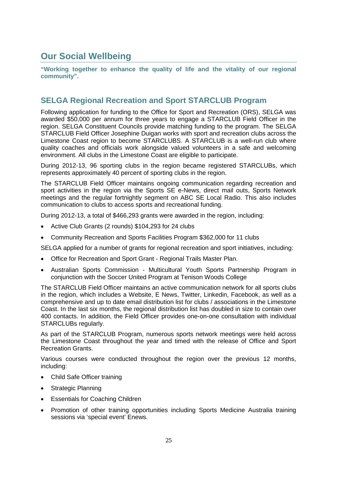## **Our Social Wellbeing**

**"Working together to enhance the quality of life and the vitality of our regional community".** 

## **SELGA Regional Recreation and Sport STARCLUB Program**

Following application for funding to the Office for Sport and Recreation (ORS), SELGA was awarded \$50,000 per annum for three years to engage a STARCLUB Field Officer in the region. SELGA Constituent Councils provide matching funding to the program. The SELGA STARCLUB Field Officer Josephine Duigan works with sport and recreation clubs across the Limestone Coast region to become STARCLUBS. A STARCLUB is a well-run club where quality coaches and officials work alongside valued volunteers in a safe and welcoming environment. All clubs in the Limestone Coast are eligible to participate.

During 2012-13, 96 sporting clubs in the region became registered STARCLUBs, which represents approximately 40 percent of sporting clubs in the region.

The STARCLUB Field Officer maintains ongoing communication regarding recreation and sport activities in the region via the Sports SE e-News, direct mail outs, Sports Network meetings and the regular fortnightly segment on ABC SE Local Radio. This also includes communication to clubs to access sports and recreational funding.

During 2012-13, a total of \$466,293 grants were awarded in the region, including:

- Active Club Grants (2 rounds) \$104,293 for 24 clubs
- Community Recreation and Sports Facilities Program \$362,000 for 11 clubs

SELGA applied for a number of grants for regional recreation and sport initiatives, including:

- Office for Recreation and Sport Grant Regional Trails Master Plan.
- Australian Sports Commission Multicultural Youth Sports Partnership Program in conjunction with the Soccer United Program at Tenison Woods College

The STARCLUB Field Officer maintains an active communication network for all sports clubs in the region, which includes a Website, E News, Twitter, Linkedin, Facebook, as well as a comprehensive and up to date email distribution list for clubs / associations in the Limestone Coast. In the last six months, the regional distribution list has doubled in size to contain over 400 contacts. In addition, the Field Officer provides one-on-one consultation with individual STARCLUBs regularly.

As part of the STARCLUB Program, numerous sports network meetings were held across the Limestone Coast throughout the year and timed with the release of Office and Sport Recreation Grants.

Various courses were conducted throughout the region over the previous 12 months, including:

- Child Safe Officer training
- Strategic Planning
- **Essentials for Coaching Children**
- Promotion of other training opportunities including Sports Medicine Australia training sessions via 'special event' Enews.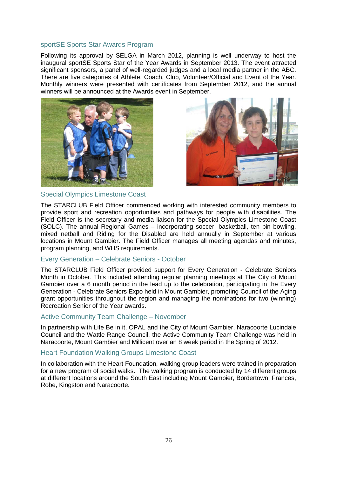#### sportSE Sports Star Awards Program

Following its approval by SELGA in March 2012, planning is well underway to host the inaugural sportSE Sports Star of the Year Awards in September 2013. The event attracted significant sponsors, a panel of well-regarded judges and a local media partner in the ABC. There are five categories of Athlete, Coach, Club, Volunteer/Official and Event of the Year. Monthly winners were presented with certificates from September 2012, and the annual winners will be announced at the Awards event in September.





#### Special Olympics Limestone Coast

The STARCLUB Field Officer commenced working with interested community members to provide sport and recreation opportunities and pathways for people with disabilities. The Field Officer is the secretary and media liaison for the Special Olympics Limestone Coast (SOLC). The annual Regional Games – incorporating soccer, basketball, ten pin bowling, mixed netball and Riding for the Disabled are held annually in September at various locations in Mount Gambier. The Field Officer manages all meeting agendas and minutes, program planning, and WHS requirements.

#### Every Generation – Celebrate Seniors - October

The STARCLUB Field Officer provided support for Every Generation - Celebrate Seniors Month in October. This included attending regular planning meetings at The City of Mount Gambier over a 6 month period in the lead up to the celebration, participating in the Every Generation - Celebrate Seniors Expo held in Mount Gambier, promoting Council of the Aging grant opportunities throughout the region and managing the nominations for two (winning) Recreation Senior of the Year awards.

#### Active Community Team Challenge – November

In partnership with Life Be in it, OPAL and the City of Mount Gambier, Naracoorte Lucindale Council and the Wattle Range Council, the Active Community Team Challenge was held in Naracoorte, Mount Gambier and Millicent over an 8 week period in the Spring of 2012.

#### Heart Foundation Walking Groups Limestone Coast

In collaboration with the Heart Foundation, walking group leaders were trained in preparation for a new program of social walks. The walking program is conducted by 14 different groups at different locations around the South East including Mount Gambier, Bordertown, Frances, Robe, Kingston and Naracoorte.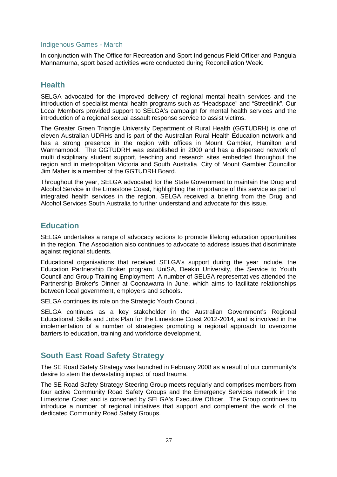#### Indigenous Games - March

In conjunction with The Office for Recreation and Sport Indigenous Field Officer and Pangula Mannamurna, sport based activities were conducted during Reconciliation Week.

#### **Health**

SELGA advocated for the improved delivery of regional mental health services and the introduction of specialist mental health programs such as "Headspace" and "Streetlink". Our Local Members provided support to SELGA's campaign for mental health services and the introduction of a regional sexual assault response service to assist victims.

The Greater Green Triangle University Department of Rural Health (GGTUDRH) is one of eleven Australian UDRHs and is part of the Australian Rural Health Education network and has a strong presence in the region with offices in Mount Gambier, Hamilton and Warrnambool. The GGTUDRH was established in 2000 and has a dispersed network of multi disciplinary student support, teaching and research sites embedded throughout the region and in metropolitan Victoria and South Australia. City of Mount Gambier Councillor Jim Maher is a member of the GGTUDRH Board.

Throughout the year, SELGA advocated for the State Government to maintain the Drug and Alcohol Service in the Limestone Coast, highlighting the importance of this service as part of integrated health services in the region. SELGA received a briefing from the Drug and Alcohol Services South Australia to further understand and advocate for this issue.

### **Education**

SELGA undertakes a range of advocacy actions to promote lifelong education opportunities in the region. The Association also continues to advocate to address issues that discriminate against regional students.

Educational organisations that received SELGA's support during the year include, the Education Partnership Broker program, UniSA, Deakin University, the Service to Youth Council and Group Training Employment. A number of SELGA representatives attended the Partnership Broker's Dinner at Coonawarra in June, which aims to facilitate relationships between local government, employers and schools.

SELGA continues its role on the Strategic Youth Council.

SELGA continues as a key stakeholder in the Australian Government's Regional Educational, Skills and Jobs Plan for the Limestone Coast 2012-2014, and is involved in the implementation of a number of strategies promoting a regional approach to overcome barriers to education, training and workforce development.

### **South East Road Safety Strategy**

The SE Road Safety Strategy was launched in February 2008 as a result of our community's desire to stem the devastating impact of road trauma.

The SE Road Safety Strategy Steering Group meets regularly and comprises members from four active Community Road Safety Groups and the Emergency Services network in the Limestone Coast and is convened by SELGA's Executive Officer. The Group continues to introduce a number of regional initiatives that support and complement the work of the dedicated Community Road Safety Groups.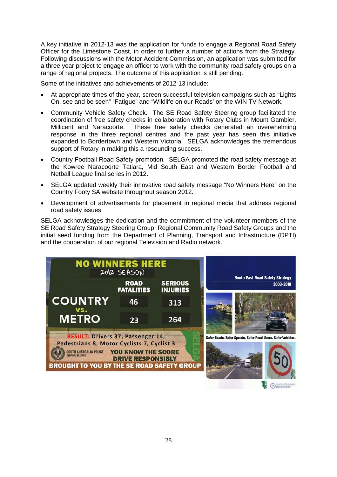A key initiative in 2012-13 was the application for funds to engage a Regional Road Safety Officer for the Limestone Coast, in order to further a number of actions from the Strategy. Following discussions with the Motor Accident Commission, an application was submitted for a three year project to engage an officer to work with the community road safety groups on a range of regional projects. The outcome of this application is still pending.

Some of the initiatives and achievements of 2012-13 include:

- At appropriate times of the year, screen successful television campaigns such as "Lights On, see and be seen" "Fatigue" and "Wildlife on our Roads' on the WIN TV Network.
- Community Vehicle Safety Check. The SE Road Safety Steering group facilitated the coordination of free safety checks in collaboration with Rotary Clubs in Mount Gambier, Millicent and Naracoorte. These free safety checks generated an overwhelming response in the three regional centres and the past year has seen this initiative expanded to Bordertown and Western Victoria. SELGA acknowledges the tremendous support of Rotary in making this a resounding success.
- Country Football Road Safety promotion. SELGA promoted the road safety message at the Kowree Naracoorte Tatiara, Mid South East and Western Border Football and Netball League final series in 2012.
- SELGA updated weekly their innovative road safety message "No Winners Here" on the Country Footy SA website throughout season 2012.
- Development of advertisements for placement in regional media that address regional road safety issues.

SELGA acknowledges the dedication and the commitment of the volunteer members of the SE Road Safety Strategy Steering Group, Regional Community Road Safety Groups and the initial seed funding from the Department of Planning, Transport and Infrastructure (DPTI) and the cooperation of our regional Television and Radio network.

| <b>NO WINNERS HERE</b>                                                                                                                                                                          | 2012 SEASON                                    |                                   | <b>South East Road Safety Strategy</b>                       |
|-------------------------------------------------------------------------------------------------------------------------------------------------------------------------------------------------|------------------------------------------------|-----------------------------------|--------------------------------------------------------------|
|                                                                                                                                                                                                 | <b>ROAD</b><br><b>FATALITIES</b>               | <b>SERIOUS</b><br><b>INJURIES</b> | 2008-2010                                                    |
| <b>COUNTRY</b><br>VS.                                                                                                                                                                           | 46                                             | 313                               |                                                              |
| <b>METRO</b>                                                                                                                                                                                    | 23                                             | 264                               |                                                              |
| RESULT: Drivers 37, Passenger 14,<br>Pedestrians 8, Motor Cyclists 7, Cyclist 3<br><b>SOUTH AUSTRALIA POLICE</b><br><b>KEEPING SA SAFE</b><br><b>BROUGHT TO YOU BY THE SE ROAD SAFETY GROUP</b> | YOU KNOW THE SCORE<br><b>DRIVE RESPONSIBLY</b> |                                   | Safer Roads. Safer Speeds. Safer Road Users. Safer Vehicles. |

**E** O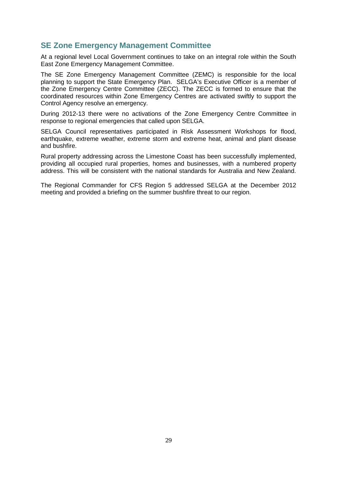## **SE Zone Emergency Management Committee**

At a regional level Local Government continues to take on an integral role within the South East Zone Emergency Management Committee.

The SE Zone Emergency Management Committee (ZEMC) is responsible for the local planning to support the State Emergency Plan. SELGA's Executive Officer is a member of the Zone Emergency Centre Committee (ZECC). The ZECC is formed to ensure that the coordinated resources within Zone Emergency Centres are activated swiftly to support the Control Agency resolve an emergency.

During 2012-13 there were no activations of the Zone Emergency Centre Committee in response to regional emergencies that called upon SELGA.

SELGA Council representatives participated in Risk Assessment Workshops for flood, earthquake, extreme weather, extreme storm and extreme heat, animal and plant disease and bushfire.

Rural property addressing across the Limestone Coast has been successfully implemented, providing all occupied rural properties, homes and businesses, with a numbered property address. This will be consistent with the national standards for Australia and New Zealand.

The Regional Commander for CFS Region 5 addressed SELGA at the December 2012 meeting and provided a briefing on the summer bushfire threat to our region.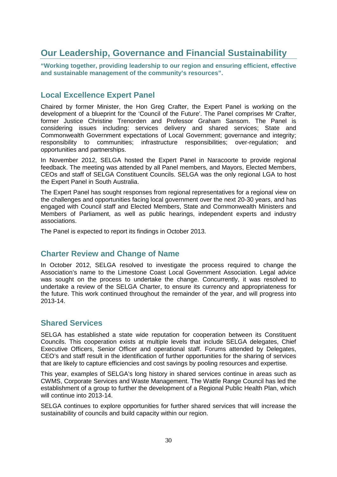## **Our Leadership, Governance and Financial Sustainability**

**"Working together, providing leadership to our region and ensuring efficient, effective and sustainable management of the community's resources".**

## **Local Excellence Expert Panel**

Chaired by former Minister, the Hon Greg Crafter, the Expert Panel is working on the development of a blueprint for the 'Council of the Future'. The Panel comprises Mr Crafter, former Justice Christine Trenorden and Professor Graham Sansom. The Panel is considering issues including: services delivery and shared services; State and Commonwealth Government expectations of Local Government; governance and integrity; responsibility to communities; infrastructure responsibilities; over-regulation; and opportunities and partnerships.

In November 2012, SELGA hosted the Expert Panel in Naracoorte to provide regional feedback. The meeting was attended by all Panel members, and Mayors, Elected Members, CEOs and staff of SELGA Constituent Councils. SELGA was the only regional LGA to host the Expert Panel in South Australia.

The Expert Panel has sought responses from regional representatives for a regional view on the challenges and opportunities facing local government over the next 20-30 years, and has engaged with Council staff and Elected Members, State and Commonwealth Ministers and Members of Parliament, as well as public hearings, independent experts and industry associations.

The Panel is expected to report its findings in October 2013.

### **Charter Review and Change of Name**

In October 2012, SELGA resolved to investigate the process required to change the Association's name to the Limestone Coast Local Government Association. Legal advice was sought on the process to undertake the change. Concurrently, it was resolved to undertake a review of the SELGA Charter, to ensure its currency and appropriateness for the future. This work continued throughout the remainder of the year, and will progress into 2013-14.

### **Shared Services**

SELGA has established a state wide reputation for cooperation between its Constituent Councils. This cooperation exists at multiple levels that include SELGA delegates, Chief Executive Officers, Senior Officer and operational staff. Forums attended by Delegates, CEO's and staff result in the identification of further opportunities for the sharing of services that are likely to capture efficiencies and cost savings by pooling resources and expertise.

This year, examples of SELGA's long history in shared services continue in areas such as CWMS, Corporate Services and Waste Management. The Wattle Range Council has led the establishment of a group to further the development of a Regional Public Health Plan, which will continue into 2013-14.

SELGA continues to explore opportunities for further shared services that will increase the sustainability of councils and build capacity within our region.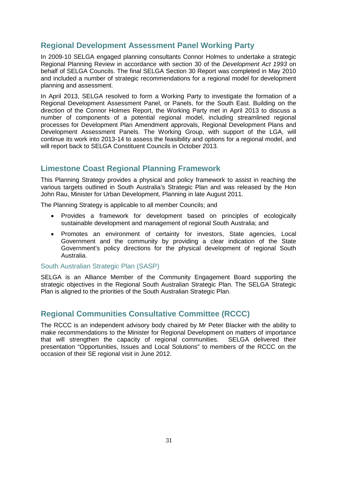## **Regional Development Assessment Panel Working Party**

In 2009-10 SELGA engaged planning consultants Connor Holmes to undertake a strategic Regional Planning Review in accordance with section 30 of the *Development Act 1993* on behalf of SELGA Councils. The final SELGA Section 30 Report was completed in May 2010 and included a number of strategic recommendations for a regional model for development planning and assessment.

In April 2013, SELGA resolved to form a Working Party to investigate the formation of a Regional Development Assessment Panel, or Panels, for the South East. Building on the direction of the Connor Holmes Report, the Working Party met in April 2013 to discuss a number of components of a potential regional model, including streamlined regional processes for Development Plan Amendment approvals, Regional Development Plans and Development Assessment Panels. The Working Group, with support of the LGA, will continue its work into 2013-14 to assess the feasibility and options for a regional model, and will report back to SELGA Constituent Councils in October 2013.

## **Limestone Coast Regional Planning Framework**

This Planning Strategy provides a physical and policy framework to assist in reaching the various targets outlined in South Australia's Strategic Plan and was released by the Hon John Rau, Minister for Urban Development, Planning in late August 2011.

The Planning Strategy is applicable to all member Councils; and

- Provides a framework for development based on principles of ecologically sustainable development and management of regional South Australia; and
- Promotes an environment of certainty for investors, State agencies, Local Government and the community by providing a clear indication of the State Government's policy directions for the physical development of regional South Australia.

#### South Australian Strategic Plan (SASP)

SELGA is an Alliance Member of the Community Engagement Board supporting the strategic objectives in the Regional South Australian Strategic Plan. The SELGA Strategic Plan is aligned to the priorities of the South Australian Strategic Plan.

## **Regional Communities Consultative Committee (RCCC)**

The RCCC is an independent advisory body chaired by Mr Peter Blacker with the ability to make recommendations to the Minister for Regional Development on matters of importance that will strengthen the capacity of regional communities. SELGA delivered their presentation "Opportunities, Issues and Local Solutions" to members of the RCCC on the occasion of their SE regional visit in June 2012.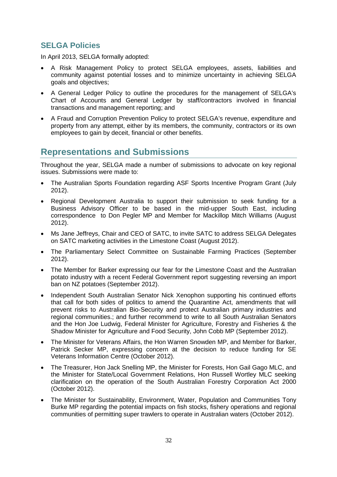## **SELGA Policies**

In April 2013, SELGA formally adopted:

- A Risk Management Policy to protect SELGA employees, assets, liabilities and community against potential losses and to minimize uncertainty in achieving SELGA goals and objectives;
- A General Ledger Policy to outline the procedures for the management of SELGA's Chart of Accounts and General Ledger by staff/contractors involved in financial transactions and management reporting; and
- A Fraud and Corruption Prevention Policy to protect SELGA's revenue, expenditure and property from any attempt, either by its members, the community, contractors or its own employees to gain by deceit, financial or other benefits.

## **Representations and Submissions**

Throughout the year, SELGA made a number of submissions to advocate on key regional issues. Submissions were made to:

- The Australian Sports Foundation regarding ASF Sports Incentive Program Grant (July 2012).
- Regional Development Australia to support their submission to seek funding for a Business Advisory Officer to be based in the mid-upper South East, including correspondence to Don Pegler MP and Member for Mackillop Mitch Williams (August 2012).
- Ms Jane Jeffreys, Chair and CEO of SATC, to invite SATC to address SELGA Delegates on SATC marketing activities in the Limestone Coast (August 2012).
- The Parliamentary Select Committee on Sustainable Farming Practices (September 2012).
- The Member for Barker expressing our fear for the Limestone Coast and the Australian potato industry with a recent Federal Government report suggesting reversing an import ban on NZ potatoes (September 2012).
- Independent South Australian Senator Nick Xenophon supporting his continued efforts that call for both sides of politics to amend the Quarantine Act, amendments that will prevent risks to Australian Bio-Security and protect Australian primary industries and regional communities.; and further recommend to write to all South Australian Senators and the Hon Joe Ludwig, Federal Minister for Agriculture, Forestry and Fisheries & the Shadow Minister for Agriculture and Food Security, John Cobb MP (September 2012).
- The Minister for Veterans Affairs, the Hon Warren Snowden MP, and Member for Barker, Patrick Secker MP, expressing concern at the decision to reduce funding for SE Veterans Information Centre (October 2012).
- The Treasurer, Hon Jack Snelling MP, the Minister for Forests, Hon Gail Gago MLC, and the Minister for State/Local Government Relations, Hon Russell Wortley MLC seeking clarification on the operation of the South Australian Forestry Corporation Act 2000 (October 2012).
- The Minister for Sustainability, Environment, Water, Population and Communities Tony Burke MP regarding the potential impacts on fish stocks, fishery operations and regional communities of permitting super trawlers to operate in Australian waters (October 2012).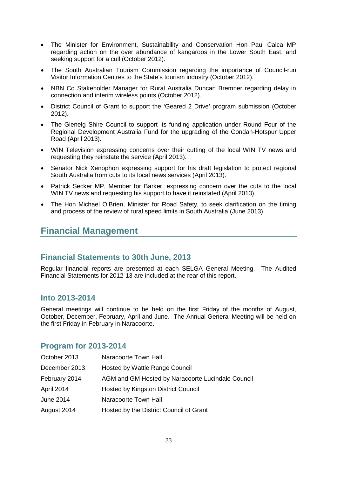- The Minister for Environment, Sustainability and Conservation Hon Paul Caica MP regarding action on the over abundance of kangaroos in the Lower South East, and seeking support for a cull (October 2012).
- The South Australian Tourism Commission regarding the importance of Council-run Visitor Information Centres to the State's tourism industry (October 2012).
- NBN Co Stakeholder Manager for Rural Australia Duncan Bremner regarding delay in connection and interim wireless points (October 2012).
- District Council of Grant to support the 'Geared 2 Drive' program submission (October 2012).
- The Glenelg Shire Council to support its funding application under Round Four of the Regional Development Australia Fund for the upgrading of the Condah-Hotspur Upper Road (April 2013).
- WIN Television expressing concerns over their cutting of the local WIN TV news and requesting they reinstate the service (April 2013).
- Senator Nick Xenophon expressing support for his draft legislation to protect regional South Australia from cuts to its local news services (April 2013).
- Patrick Secker MP, Member for Barker, expressing concern over the cuts to the local WIN TV news and requesting his support to have it reinstated (April 2013).
- The Hon Michael O'Brien, Minister for Road Safety, to seek clarification on the timing and process of the review of rural speed limits in South Australia (June 2013).

## **Financial Management**

### **Financial Statements to 30th June, 2013**

Regular financial reports are presented at each SELGA General Meeting. The Audited Financial Statements for 2012-13 are included at the rear of this report.

### **Into 2013-2014**

General meetings will continue to be held on the first Friday of the months of August, October, December, February, April and June. The Annual General Meeting will be held on the first Friday in February in Naracoorte.

### **Program for 2013-2014**

| October 2013  | Naracoorte Town Hall                              |
|---------------|---------------------------------------------------|
| December 2013 | Hosted by Wattle Range Council                    |
| February 2014 | AGM and GM Hosted by Naracoorte Lucindale Council |
| April 2014    | <b>Hosted by Kingston District Council</b>        |
| June 2014     | Naracoorte Town Hall                              |
| August 2014   | Hosted by the District Council of Grant           |
|               |                                                   |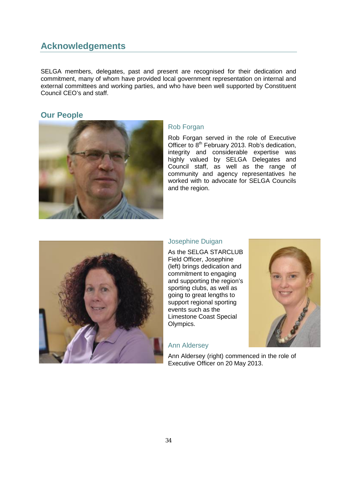## **Acknowledgements**

SELGA members, delegates, past and present are recognised for their dedication and commitment, many of whom have provided local government representation on internal and external committees and working parties, and who have been well supported by Constituent Council CEO's and staff.

## **Our People**



#### Rob Forgan

Rob Forgan served in the role of Executive Officer to  $8<sup>th</sup>$  February 2013. Rob's dedication, integrity and considerable expertise was highly valued by SELGA Delegates and Council staff, as well as the range of community and agency representatives he worked with to advocate for SELGA Councils and the region.



#### Josephine Duigan

As the SELGA STARCLUB Field Officer, Josephine (left) brings dedication and commitment to engaging and supporting the region's sporting clubs, as well as going to great lengths to support regional sporting events such as the Limestone Coast Special Olympics.

#### Ann Aldersey



Ann Aldersey (right) commenced in the role of Executive Officer on 20 May 2013.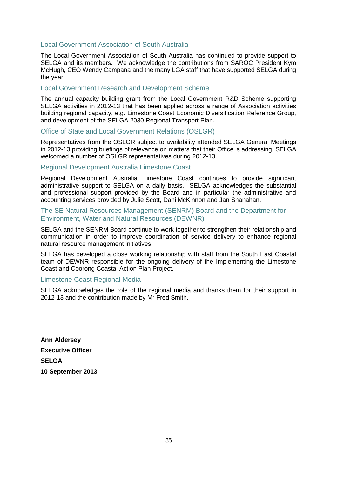#### Local Government Association of South Australia

The Local Government Association of South Australia has continued to provide support to SELGA and its members. We acknowledge the contributions from SAROC President Kym McHugh, CEO Wendy Campana and the many LGA staff that have supported SELGA during the year.

#### Local Government Research and Development Scheme

The annual capacity building grant from the Local Government R&D Scheme supporting SELGA activities in 2012-13 that has been applied across a range of Association activities building regional capacity, e.g. Limestone Coast Economic Diversification Reference Group, and development of the SELGA 2030 Regional Transport Plan.

#### Office of State and Local Government Relations (OSLGR)

Representatives from the OSLGR subject to availability attended SELGA General Meetings in 2012-13 providing briefings of relevance on matters that their Office is addressing. SELGA welcomed a number of OSLGR representatives during 2012-13.

#### Regional Development Australia Limestone Coast

Regional Development Australia Limestone Coast continues to provide significant administrative support to SELGA on a daily basis. SELGA acknowledges the substantial and professional support provided by the Board and in particular the administrative and accounting services provided by Julie Scott, Dani McKinnon and Jan Shanahan.

#### The SE Natural Resources Management (SENRM) Board and the Department for Environment, Water and Natural Resources (DEWNR)

SELGA and the SENRM Board continue to work together to strengthen their relationship and communication in order to improve coordination of service delivery to enhance regional natural resource management initiatives.

SELGA has developed a close working relationship with staff from the South East Coastal team of DEWNR responsible for the ongoing delivery of the Implementing the Limestone Coast and Coorong Coastal Action Plan Project.

#### Limestone Coast Regional Media

SELGA acknowledges the role of the regional media and thanks them for their support in 2012-13 and the contribution made by Mr Fred Smith.

**Ann Aldersey Executive Officer SELGA 10 September 2013**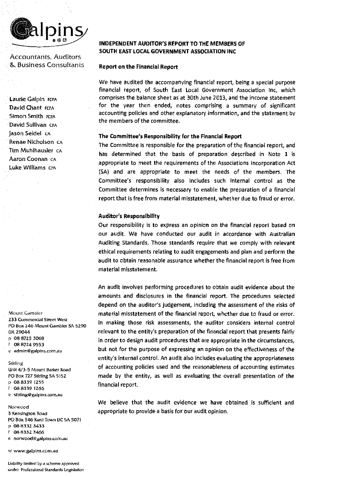

Accountants, Auditors & Business Consultants

Laurie Galpin rcPA David Chant FCPA Simon Smith FCPA David Sullivan CPA Jason Seidel CA Renae Nicholson CA Tim Muhlhausler cA Aaron Coonan cA Luke Williams erA

Mount' Gambier **Z33** Cornrnerdal Street West ro Box *146* 1\'\ountGambier SA *5290*  DX Z9044 p 08 87Z5 3068 f 08 8724 95 53 c admin@galpins.com.au

Stirling

Unit 4/3-5 Mount Barker Road PO Box 7Z7 Stirling SA 515Z p 08 8339 1Z55 f 08 83 39 1266 e stlriing@galpins.rom.au

Norwood 3 Kensington Road PO Box 546 Kent Town DC 5A 5071 p 08 8332 3433 f 08 833Z 3466 e norwood@galpins.com.au

w www.galpins.com.au

Liabtltty limited by a scheme approved under Professional Standards Legislation

#### INDEPENDENT AUDITOR'S REPORT TO THE MEMBERS OF SOUTH EAST LOCAL GOVERNMENT ASSOCIATION INC

#### Report on the Financial Report

We have audited the accompanying financial report, being a special purpose financial report, of South East Local Government Association Inc, which comprises the balance sheet as at 30th June 2013, and the income statement for the year then ended, notes comprising a summary of significant accounting policies and other explanatory Information, and the statement by the members of the committee.

#### The Committee's Responsibility for the Financial Report

The Committee is responsible for the preparation of the financial report, and has determined that the basis of preparation described in Note 1 is appropriate to meet the requirements of the Associations Incorporation Act (SA) and are appropriate to meet the needs of the members. The Committee's responsibility also includes such internal control as the Committee determines is necessary to enable the preparation of a financial report that is free from material misstatement, whether due to fraud or error.

#### Auditor's Responsibility

Our responsibility is to express an opinion on the financial report based on our audit. We have conducted our audit in accordance with Australian Auditing Standards. Those standards require that we comply with relevant ethical requirements relating to audit engagements and plan and perform the audit to obtain reasonable assurance whether the financial report is free from material misstatement.

An audit involves performing procedures to obtain audit evidence about the amounts and disclosures in the financial report. The procedures selected depend on the auditor's judgement, including the assessment of the risks of material misstatement of the financial report, whether due to fraud or error. In making those risk assessments, the auditor considers internal control relevant to the entity's preparation of the financial report that presents fairly in order to design audit procedures that are appropriate in the circumstances, but not for the purpose of expressing an opinion on the effectiveness of the entity's internal control. An audit also includes evaluating the appropriateness of accounting policies used and the reasonableness of accounting estimates made by the entity, as well as evaluating the overall presentation of the financial report.

We believe that the audit evidence we have obtained is sufficient and appropriate to provide a basis for our audit opinion.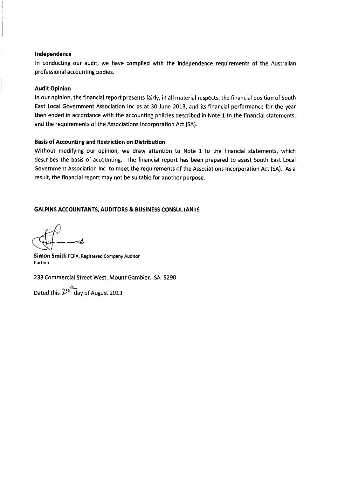#### **Independence**

In conducting our audit, we have complied with the independence requirements of the Australian professional accounting bodies.

#### **Audit Opinion**

In our opinion, the financial report presents fairly, in all material respects, the financial position of South East Local Government Association Inc as at 30 June 2013, and its financial performance for the year then ended **in** accordance with the accounting policies described in Note 1 to the financial statements, and the requirements of the Associations Incorporation Act (SA).

#### **Basis of Accounting and Restriction on Distribution**

Without modifying our opinion, we draw attention to Note 1 to the financial statements, which describes the basis of accounting. The financial report has been prepared to assist South East Local Government Association Inc to meet the requirements of the Associations Incorporation Act (SA). As a result, the financial report may not be suitable for another purpose.

#### **GALPINS ACCOUNTANTS, AUDITORS & BUSINESS CONSULTANTS**

**Simon Smith** FCPA, Registered Company Auditor **Partner** 

233 Commercial Street West, Mount Gambier. SA 5290

Dated this  $29^{\text{d}}$  day of August 2013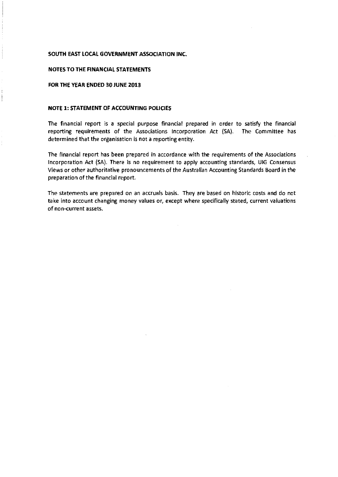#### **SOUTH EAST LOCAL GOVERNMENT ASSOCIATION INC.**

#### **NOTES TO THE FINANCIAL STATEMENTS**

#### **FOR THE YEAR ENDED 30 JUNE 2013**

#### **NOTE 1: STATEMENT OF ACCOUNTING POLICIES**

The financial report is a special purpose financial prepared in order to satisfy the financial reporting requirements of the Associations Incorporation Act {SA). The Committee has determined that the organisation is not a reporting entity.

The financial report has been prepared in accordance with the requirements of the Associations Incorporation Act {SA). There is no requirement to apply accounting standards, UIG Consensus Views or other authoritative pronouncements of the Australian Accounting Standards Board in the preparation of the financial report.

The statements are prepared on an accruals basis. They are based on historic costs and do not take into account changing money values or, except where specifically stated, current valuations of non-current assets.

 $\sim$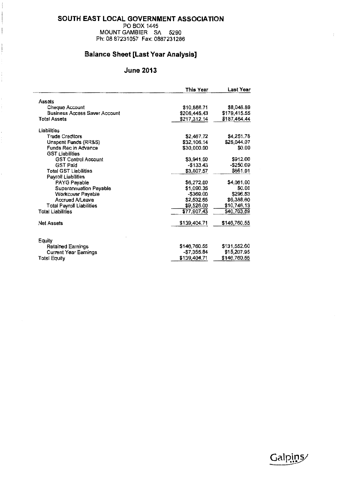#### **SOUTH EAST LOCAL GOVERNMENT ASSOCIATION**

PO BOX 1445 MOUNT GAMBIER SA 5290 Ph: 08 87231057 Fax: 0887231266

 $\overline{\mathbf{I}}$ 

 $\begin{array}{c} \hline \end{array}$ 

 $\begin{array}{c} \frac{1}{2} & \text{if } \theta \in \mathbb{R}^n, \\ \frac{1}{2} & \text{if } \theta \in \mathbb{R}^n, \end{array}$ 

j.

## **Balance Sheet [Last Year Analysis]**

## **June 2013**

|                                      | This Year    | Last Year    |
|--------------------------------------|--------------|--------------|
| Assets                               |              |              |
| Cheque Account                       | \$10,866.71  | \$8,048.89   |
| <b>Business Access Saver Account</b> |              |              |
| <b>Total Assets</b>                  | \$206,445.43 | \$179,415.55 |
|                                      | \$217,312.14 | \$187,464.44 |
| Liabilities                          |              |              |
| <b>Trade Creditors</b>               | \$2,467.72   | \$4,251.78   |
| Unspent Funds (RR&S)                 | \$32,106.14  | \$25,044,07  |
| Funds Rec in Advance                 | \$30,000.00  | \$0.00       |
| <b>GST Liabilities</b>               |              |              |
| <b>GST Control Account</b>           | \$3,941.00   | \$912,00     |
| <b>GST Paid</b>                      | $-$133.43$   | $-5250.09$   |
| <b>Total GST Liabilities</b>         | \$3,807.57   | \$661.91     |
| Payroll Liabilities                  |              |              |
| PAYG Payable                         | \$6,272.00   | \$4,061.00   |
| Superannuation Payable               | \$1,090,35   | \$0.00       |
| Workcover Payable                    | $-5369.00$   | \$296.53     |
| <b>Accrued A/Leave</b>               | \$2,532.65   | \$6,388.60   |
| <b>Total Payroll Liabilities</b>     | \$9,526.00   | \$10,746.13  |
| Total Liahilities                    | \$77,907,43  | \$40,703.89  |
| Net Assets                           | \$139,404.71 | \$146,760.55 |
|                                      |              |              |
| Equity                               |              |              |
| Retained Earnings                    | \$146,760.55 | \$131,552.60 |
| <b>Current Year Earnings</b>         | -\$7,355.84  | \$15,207.95  |
| Total Equity                         | \$139,404.71 | \$146,760.55 |
|                                      |              |              |



é.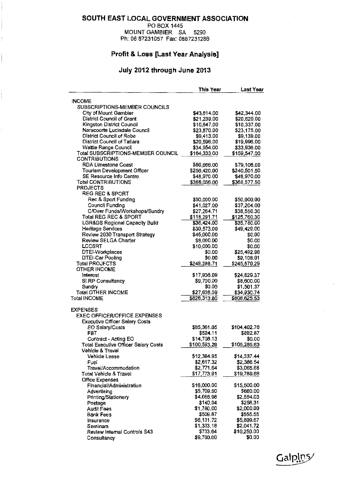#### SOUTH EAST LOCAL GOVERNMENT ASSOCIATION

PO BOX 1445 MOUNT GAMBIER SA 5290

Ph: 08 87231057 Fax: 0887231286

## Profit & Loss [Last Year Analysis]

 $\ddot{\phantom{0}}$ 

### July 2012 through June 2013

|                                             | This Year                  | Last Year    |
|---------------------------------------------|----------------------------|--------------|
| <b>INCOME</b>                               |                            |              |
| SUBSCRIPTIONS-MEMBER COUNCILS               |                            |              |
| City of Mount Gambier                       | \$43,614.00                | \$42,344.00  |
| District Council of Grant                   | \$21,239.00                | \$20,620.00  |
| Kingston District Council                   | \$10,647.00                | \$10,337.00  |
| Naracoorte Lucindale Council                | \$23,870.00                | \$23,175.00  |
| District Council of Robe                    | \$9,413.00                 | \$9,139.00   |
| District Council of Tatiara                 | \$20,596.00                | \$19,996.00  |
| Wattle Range Council                        | \$34,954.00                | \$33,936.00  |
| Total SUBSCRIPTIONS-MEMBER COUNCIL          | \$164,333.00               | \$159,547.00 |
| <b>CONTRIBUTIONS</b>                        |                            |              |
| <b>RDA Limestone Coast</b>                  | \$80,666,00                | \$79,106.00  |
| Tourism Development Officer                 | \$256,420.00               | \$240,501.50 |
| SE Resource Info Centre                     | \$48,970.00                | \$48,970.00  |
| <b>Total CONTRIBUTIONS</b>                  | \$386,056.00               | \$368,577.50 |
| <b>PROJECTS</b>                             |                            |              |
| <b>REG REC &amp; SPORT</b>                  |                            |              |
| Rec & Sport Funding                         |                            | \$50,000,00  |
|                                             | \$50,000.00<br>\$41,027.00 |              |
| Council Funding                             |                            | \$37,204.00  |
| C/Over Funds/Workshops/Sundry               | \$27,264.71                | \$38,556.30  |
| <b>Total REG REC &amp; SPORT</b>            | \$118,291.71               | \$125,760.30 |
| <b>LGRADS Regional Capacity Build</b>       | \$36,424.00                | \$35,780.00  |
| Heritage Services                           | \$30,573.00                | \$49,429.00  |
| Review 2030 Transport Strategy              | \$45,000.00                | \$0,00       |
| <b>Review SELGA Charter</b>                 | \$8,000.00                 | \$0.00       |
| <b>LCCSRT</b>                               | \$10,000,00                | \$0.00       |
| DTEl-Workplaces                             | \$0.00                     | \$25,492.98  |
| DTEI-Car Pooling                            | \$0.00                     | \$9,108.01   |
| Total PROJECTS                              | \$248,288.71               | \$245,570.29 |
| <b>OTHER INCOME</b>                         |                            |              |
| Interest                                    | \$17,936.09                | \$24,829.37  |
| <b>SLRP Consultancy</b>                     | \$9,700.00                 | \$8,600.00   |
| Sundry                                      | <b>\$0.00</b>              | \$1,501.37   |
| <b>Total OTHER INCOME</b>                   | \$27,636.09                | \$34,930.74  |
| <b>Total INCOME</b>                         | \$826,313.80               | \$808,625.53 |
| <b>EXPENSES</b>                             |                            |              |
| <b>EXEC OFFICER/OFFICE EXPENSES</b>         |                            |              |
| <b>Executive Officer Salary Costs</b>       |                            |              |
| EO Salary/Costs                             | \$85,361.05                | \$104,402.76 |
| FBT                                         | \$524.11                   | \$882.87     |
| Contract - Acting EO                        | \$14,708.13                | \$0.00       |
| <b>Total Executive Officer Salary Costs</b> | \$100,593.29               | \$105,285.63 |
| Vehicle & Travel                            |                            |              |
| Vehicle Lease                               | \$12,384.95                | \$14,337.44  |
| Fuel                                        | \$2,617.32                 | \$2,386.54   |
| Travel/Accommodation                        | \$2,771.64                 | \$3,065.68   |
| Total Vehicle & Travel                      | \$17,773.91                | \$19,789.66  |
| <b>Office Expenses</b>                      |                            |              |
| Financial/Administration                    | \$16,000.00                | \$15,500.00  |
| Advertising                                 | \$5,709.50                 | \$660,00     |
| Printing/Stationery                         | \$4,066,98                 | \$2,554.03   |
| Postage                                     | \$140.04                   | \$258,31     |
| <b>Audit Fees</b>                           | \$1,780.00                 | \$2,000.00   |
| Bank Fees                                   | \$509.87                   | \$555.55     |
| Insurance                                   | \$6,131.72                 | \$5,809.67   |
| Seminars                                    | \$1,333.18                 | \$2,041.72   |
| Review Internal Controls \$43               | \$733.64                   | \$10,250.00  |
| Consultancy                                 | \$9,700.00                 | \$0.00       |
|                                             |                            |              |

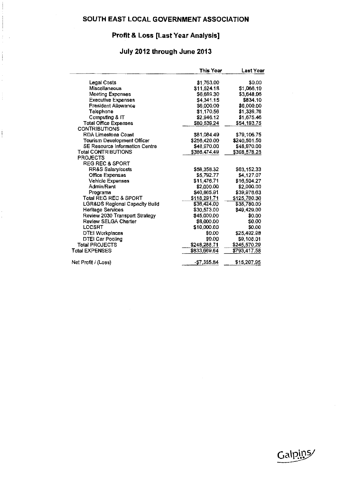## **Profit & Loss [Last Year Analysis]**

## **July 2012 through June 2013**

 $\frac{1}{2}$  and  $\frac{1}{2}$ Ĵ,

 $\begin{array}{c} \begin{array}{c} \bullet \\ \bullet \\ \end{array} \end{array}$ 

|                                | This Year    | Last Year    |
|--------------------------------|--------------|--------------|
| Legal Costs                    | \$1,763.00   | \$0.00       |
| Miscellaneous                  | \$11,524.18  | \$1,066.19   |
| Meeting Expenses               | \$6,689.30   | \$3,648.96   |
| <b>Executive Expenses</b>      | \$4,341.15   | \$834.10     |
| President Allowance            | \$6,000.00   | \$6,000.00   |
| Telephone                      | \$1,170.56   | \$1,339.76   |
| Computing & IT                 | \$2,946.12   | \$1,675.46   |
| <b>Total Office Expenses</b>   | \$80,539.24  | \$54,193.75  |
| <b>CONTRIBUTIONS</b>           |              |              |
| <b>RDA Limestone Coast</b>     | \$81,084.49  | \$79,106.75  |
| Tourism Development Officer    | \$256,420.00 | \$240,501.50 |
| SE Resource Information Centre | \$48,970.00  | \$48,970.00  |
| Total CONTRIBUTIONS            | \$386,474,49 | \$368,578.25 |
| <b>PROJECTS</b>                |              |              |
| <b>REG REC &amp; SPORT</b>     |              |              |
| RR&S Salary/costs              | \$58,356.32  | \$63,152.33  |
| <b>Office Expenses</b>         | \$5,792.77   | \$4,127.07   |
| <b>Vehicle Expenses</b>        | \$11,476.71  | \$16,504.27  |
| Admin/Rent                     | \$2,000.00   | \$2,000.00   |
| Programs                       | \$40,665.91  | \$39,976.63  |
| Total REG REC & SPORT          | \$118,291.71 | \$125,760.30 |
| LGR&DS Regional Capacity Build | \$36,424.00  | \$35,780.00  |
| Heritage Services              | \$30,573.00  | \$49,429.00  |
| Review 2030 Transport Strategy | \$45,000.00  | \$0.00       |
| <b>Review SELGA Charter</b>    | \$8,000.00   | <b>SO.00</b> |
| LCCSRT                         | \$10,000.00  | \$0.00       |
| <b>DTEI Workplaces</b>         | \$0.00       | \$25,492.00  |
| DTEI Car Pooling               | \$0.00       | \$9,108,01   |
| <b>Total PROJECTS</b>          | \$248,288.71 | \$245,570.29 |
| Total EXPENSES                 | \$833,669.64 | \$793,417.58 |
| Net Profit / (Loss)            | $-$7,355.84$ | \$15,207.95  |

Galpins/